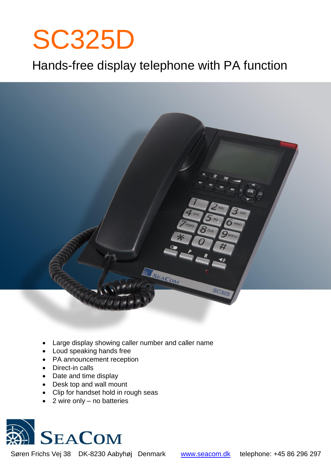# SC325D

# Hands-free display telephone with PA function



- Large display showing caller number and caller name
- Loud speaking hands free
- PA announcement reception
- Direct-in calls
- Date and time display
- Desk top and wall mount
- Clip for handset hold in rough seas
- 2 wire only no batteries



Søren Frichs Vej 38 DK-8230 Aabyhøj Denmark [www.seacom.dk](http://www.seacom.dk/) telephone: +45 86 296 297